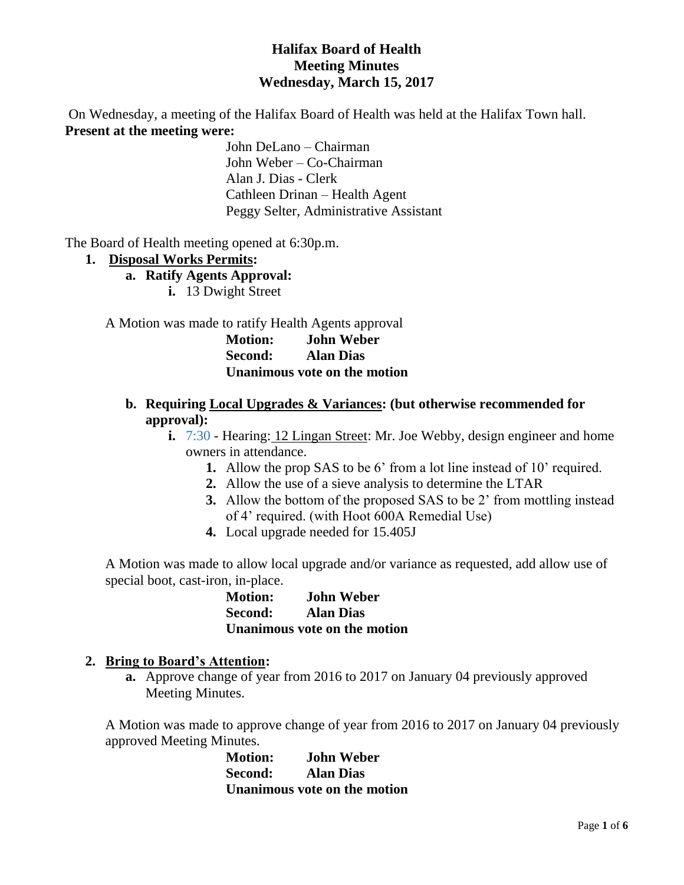## **Halifax Board of Health Meeting Minutes Wednesday, March 15, 2017**

On Wednesday, a meeting of the Halifax Board of Health was held at the Halifax Town hall. **Present at the meeting were:**

> John DeLano – Chairman John Weber – Co-Chairman Alan J. Dias - Clerk Cathleen Drinan – Health Agent Peggy Selter, Administrative Assistant

The Board of Health meeting opened at 6:30p.m.

#### **1. Disposal Works Permits:**

- **a. Ratify Agents Approval:**
	- **i.** 13 Dwight Street

A Motion was made to ratify Health Agents approval

**Motion: John Weber Second: Alan Dias Unanimous vote on the motion**

- **b. Requiring Local Upgrades & Variances: (but otherwise recommended for approval):**
	- **i.** 7:30 Hearing: 12 Lingan Street: Mr. Joe Webby, design engineer and home owners in attendance.
		- **1.** Allow the prop SAS to be 6' from a lot line instead of 10' required.
		- **2.** Allow the use of a sieve analysis to determine the LTAR
		- **3.** Allow the bottom of the proposed SAS to be 2' from mottling instead of 4' required. (with Hoot 600A Remedial Use)
		- **4.** Local upgrade needed for 15.405J

A Motion was made to allow local upgrade and/or variance as requested, add allow use of special boot, cast-iron, in-place.

> **Motion: John Weber Second: Alan Dias Unanimous vote on the motion**

#### **2. Bring to Board's Attention:**

**a.** Approve change of year from 2016 to 2017 on January 04 previously approved Meeting Minutes.

A Motion was made to approve change of year from 2016 to 2017 on January 04 previously approved Meeting Minutes.

**Motion: John Weber Second: Alan Dias Unanimous vote on the motion**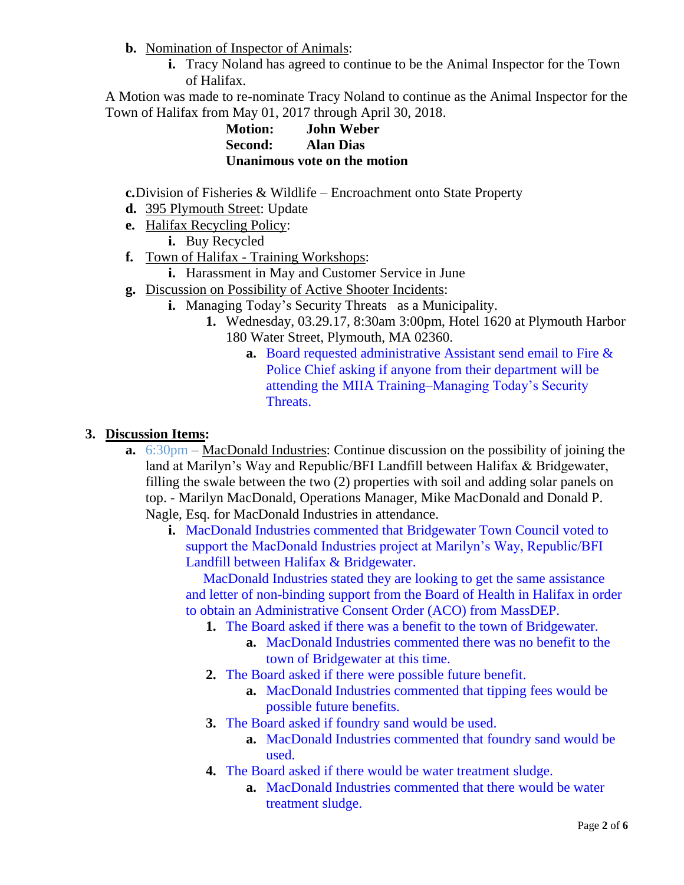**b.** Nomination of Inspector of Animals:

**i.** Tracy Noland has agreed to continue to be the Animal Inspector for the Town of Halifax.

A Motion was made to re-nominate Tracy Noland to continue as the Animal Inspector for the Town of Halifax from May 01, 2017 through April 30, 2018.

> **Motion: John Weber Second: Alan Dias Unanimous vote on the motion**

**c.**Division of Fisheries & Wildlife – Encroachment onto State Property

- **d.** 395 Plymouth Street: Update
- **e.** Halifax Recycling Policy:
	- **i.** Buy Recycled
- **f.** Town of Halifax Training Workshops:
	- **i.** Harassment in May and Customer Service in June
- **g.** Discussion on Possibility of Active Shooter Incidents:
	- **i.** Managing Today's Security Threats as a Municipality.
		- **1.** Wednesday, 03.29.17, 8:30am 3:00pm, Hotel 1620 at Plymouth Harbor 180 Water Street, Plymouth, MA 02360.
			- **a.** Board requested administrative Assistant send email to Fire & Police Chief asking if anyone from their department will be attending the MIIA Training–Managing Today's Security Threats.

### **3. Discussion Items:**

- **a.** 6:30pm MacDonald Industries: Continue discussion on the possibility of joining the land at Marilyn's Way and Republic/BFI Landfill between Halifax & Bridgewater, filling the swale between the two (2) properties with soil and adding solar panels on top. - Marilyn MacDonald, Operations Manager, Mike MacDonald and Donald P. Nagle, Esq. for MacDonald Industries in attendance.
	- **i.** MacDonald Industries commented that Bridgewater Town Council voted to support the MacDonald Industries project at Marilyn's Way, Republic/BFI Landfill between Halifax & Bridgewater.

 MacDonald Industries stated they are looking to get the same assistance and letter of non-binding support from the Board of Health in Halifax in order to obtain an Administrative Consent Order (ACO) from MassDEP.

- **1.** The Board asked if there was a benefit to the town of Bridgewater.
	- **a.** MacDonald Industries commented there was no benefit to the town of Bridgewater at this time.
- **2.** The Board asked if there were possible future benefit.
	- **a.** MacDonald Industries commented that tipping fees would be possible future benefits.
- **3.** The Board asked if foundry sand would be used.
	- **a.** MacDonald Industries commented that foundry sand would be used.
- **4.** The Board asked if there would be water treatment sludge.
	- **a.** MacDonald Industries commented that there would be water treatment sludge.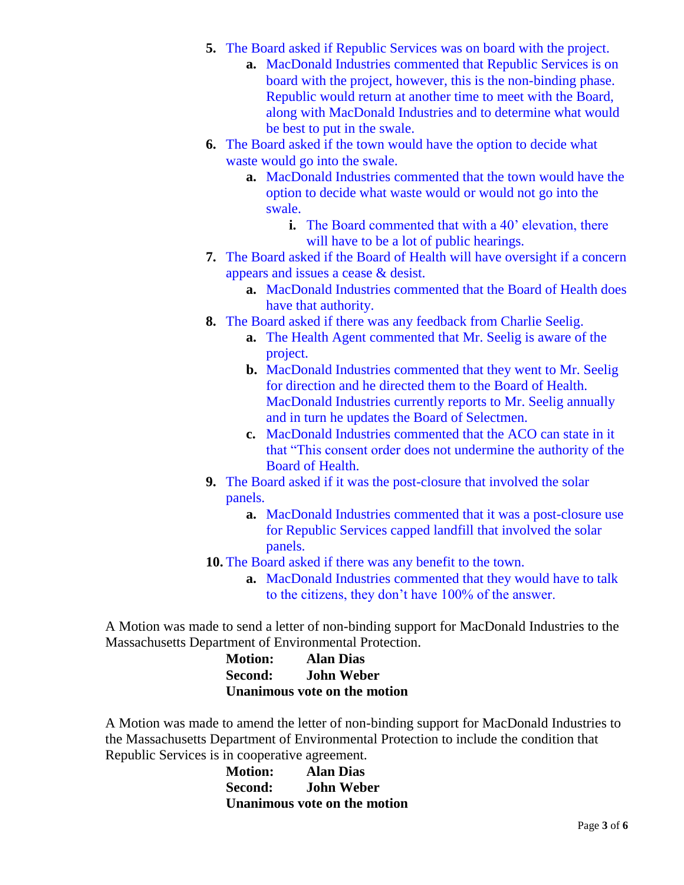- **5.** The Board asked if Republic Services was on board with the project.
	- **a.** MacDonald Industries commented that Republic Services is on board with the project, however, this is the non-binding phase. Republic would return at another time to meet with the Board, along with MacDonald Industries and to determine what would be best to put in the swale.
- **6.** The Board asked if the town would have the option to decide what waste would go into the swale.
	- **a.** MacDonald Industries commented that the town would have the option to decide what waste would or would not go into the swale.
		- **i.** The Board commented that with a 40' elevation, there will have to be a lot of public hearings.
- **7.** The Board asked if the Board of Health will have oversight if a concern appears and issues a cease & desist.
	- **a.** MacDonald Industries commented that the Board of Health does have that authority.
- **8.** The Board asked if there was any feedback from Charlie Seelig.
	- **a.** The Health Agent commented that Mr. Seelig is aware of the project.
	- **b.** MacDonald Industries commented that they went to Mr. Seelig for direction and he directed them to the Board of Health. MacDonald Industries currently reports to Mr. Seelig annually and in turn he updates the Board of Selectmen.
	- **c.** MacDonald Industries commented that the ACO can state in it that "This consent order does not undermine the authority of the Board of Health.
- **9.** The Board asked if it was the post-closure that involved the solar panels.
	- **a.** MacDonald Industries commented that it was a post-closure use for Republic Services capped landfill that involved the solar panels.
- **10.** The Board asked if there was any benefit to the town.
	- **a.** MacDonald Industries commented that they would have to talk to the citizens, they don't have 100% of the answer.

A Motion was made to send a letter of non-binding support for MacDonald Industries to the Massachusetts Department of Environmental Protection.

> **Motion: Alan Dias Second: John Weber Unanimous vote on the motion**

A Motion was made to amend the letter of non-binding support for MacDonald Industries to the Massachusetts Department of Environmental Protection to include the condition that Republic Services is in cooperative agreement.

| <b>Motion:</b> | <b>Alan Dias</b>             |
|----------------|------------------------------|
| <b>Second:</b> | <b>John Weber</b>            |
|                | Unanimous vote on the motion |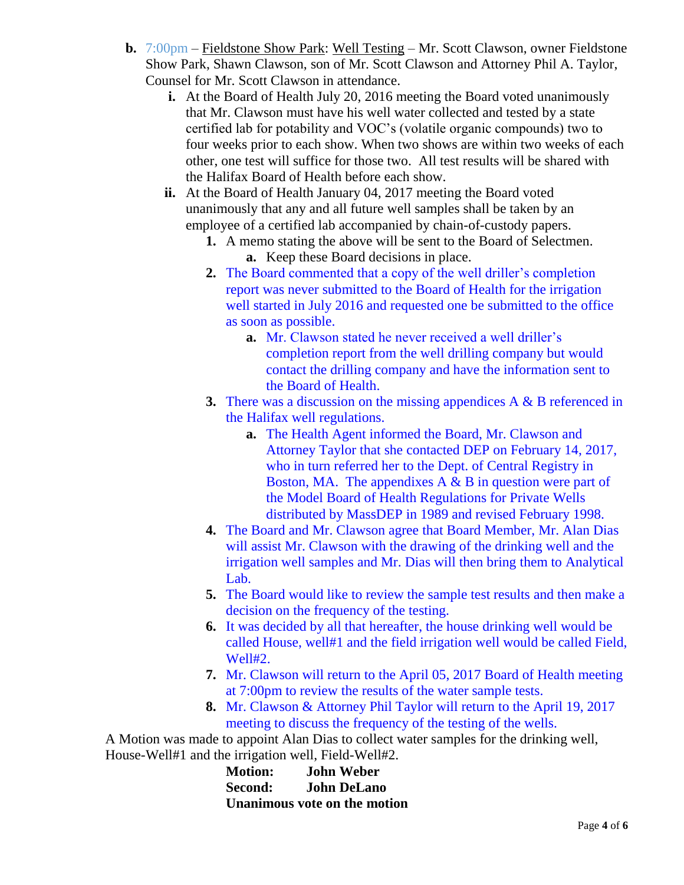- **b.** 7:00pm Fieldstone Show Park: Well Testing Mr. Scott Clawson, owner Fieldstone Show Park, Shawn Clawson, son of Mr. Scott Clawson and Attorney Phil A. Taylor, Counsel for Mr. Scott Clawson in attendance.
	- **i.** At the Board of Health July 20, 2016 meeting the Board voted unanimously that Mr. Clawson must have his well water collected and tested by a state certified lab for potability and VOC's (volatile organic compounds) two to four weeks prior to each show. When two shows are within two weeks of each other, one test will suffice for those two. All test results will be shared with the Halifax Board of Health before each show.
	- **ii.** At the Board of Health January 04, 2017 meeting the Board voted unanimously that any and all future well samples shall be taken by an employee of a certified lab accompanied by chain-of-custody papers.
		- **1.** A memo stating the above will be sent to the Board of Selectmen. **a.** Keep these Board decisions in place.
		- **2.** The Board commented that a copy of the well driller's completion report was never submitted to the Board of Health for the irrigation well started in July 2016 and requested one be submitted to the office as soon as possible.
			- **a.** Mr. Clawson stated he never received a well driller's completion report from the well drilling company but would contact the drilling company and have the information sent to the Board of Health.
		- **3.** There was a discussion on the missing appendices A & B referenced in the Halifax well regulations.
			- **a.** The Health Agent informed the Board, Mr. Clawson and Attorney Taylor that she contacted DEP on February 14, 2017, who in turn referred her to the Dept. of Central Registry in Boston, MA. The appendixes  $A \& B$  in question were part of the Model Board of Health Regulations for Private Wells distributed by MassDEP in 1989 and revised February 1998.
		- **4.** The Board and Mr. Clawson agree that Board Member, Mr. Alan Dias will assist Mr. Clawson with the drawing of the drinking well and the irrigation well samples and Mr. Dias will then bring them to Analytical Lab.
		- **5.** The Board would like to review the sample test results and then make a decision on the frequency of the testing.
		- **6.** It was decided by all that hereafter, the house drinking well would be called House, well#1 and the field irrigation well would be called Field, Well#2.
		- **7.** Mr. Clawson will return to the April 05, 2017 Board of Health meeting at 7:00pm to review the results of the water sample tests.
		- **8.** Mr. Clawson & Attorney Phil Taylor will return to the April 19, 2017 meeting to discuss the frequency of the testing of the wells.

A Motion was made to appoint Alan Dias to collect water samples for the drinking well, House-Well#1 and the irrigation well, Field-Well#2.

| <b>Motion:</b>                      | <b>John Weber</b>  |
|-------------------------------------|--------------------|
| <b>Second:</b>                      | <b>John DeLano</b> |
| <b>Unanimous vote on the motion</b> |                    |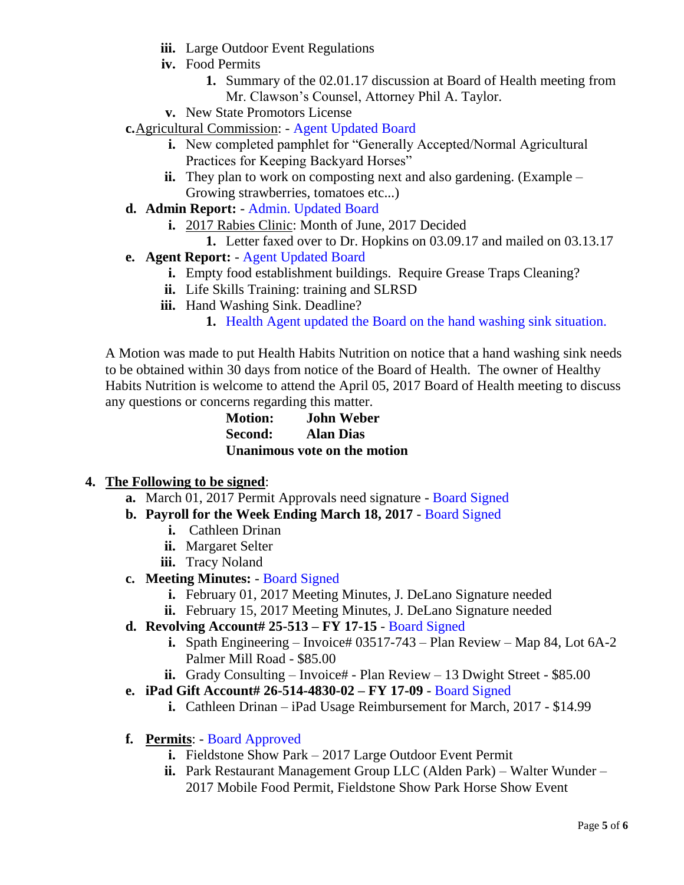- **iii.** Large Outdoor Event Regulations
- **iv.** Food Permits
	- **1.** Summary of the 02.01.17 discussion at Board of Health meeting from Mr. Clawson's Counsel, Attorney Phil A. Taylor.
- **v.** New State Promotors License
- **c.**Agricultural Commission: Agent Updated Board
	- **i.** New completed pamphlet for "Generally Accepted/Normal Agricultural Practices for Keeping Backyard Horses"
	- **ii.** They plan to work on composting next and also gardening. (Example Growing strawberries, tomatoes etc...)
- **d. Admin Report:** Admin. Updated Board
	- **i.** 2017 Rabies Clinic: Month of June, 2017 Decided
		- **1.** Letter faxed over to Dr. Hopkins on 03.09.17 and mailed on 03.13.17
- **e. Agent Report:** Agent Updated Board
	- **i.** Empty food establishment buildings. Require Grease Traps Cleaning?
	- **ii.** Life Skills Training: training and SLRSD
	- **iii.** Hand Washing Sink. Deadline?
		- **1.** Health Agent updated the Board on the hand washing sink situation.

A Motion was made to put Health Habits Nutrition on notice that a hand washing sink needs to be obtained within 30 days from notice of the Board of Health. The owner of Healthy Habits Nutrition is welcome to attend the April 05, 2017 Board of Health meeting to discuss any questions or concerns regarding this matter.

> **Motion: John Weber Second: Alan Dias Unanimous vote on the motion**

### **4. The Following to be signed**:

- **a.** March 01, 2017 Permit Approvals need signature Board Signed
- **b. Payroll for the Week Ending March 18, 2017** Board Signed
	- **i.** Cathleen Drinan
	- **ii.** Margaret Selter
	- **iii.** Tracy Noland
- **c. Meeting Minutes:**  Board Signed
	- **i.** February 01, 2017 Meeting Minutes, J. DeLano Signature needed
	- **ii.** February 15, 2017 Meeting Minutes, J. DeLano Signature needed
- **d. Revolving Account# 25-513 – FY 17-15** Board Signed
	- **i.** Spath Engineering Invoice# 03517-743 Plan Review Map 84, Lot 6A-2 Palmer Mill Road - \$85.00
	- **ii.** Grady Consulting Invoice# Plan Review 13 Dwight Street \$85.00
- **e. iPad Gift Account# 26-514-4830-02 – FY 17-09** Board Signed
	- **i.** Cathleen Drinan iPad Usage Reimbursement for March, 2017 \$14.99
- **f. Permits**: Board Approved
	- **i.** Fieldstone Show Park 2017 Large Outdoor Event Permit
	- **ii.** Park Restaurant Management Group LLC (Alden Park) Walter Wunder 2017 Mobile Food Permit, Fieldstone Show Park Horse Show Event